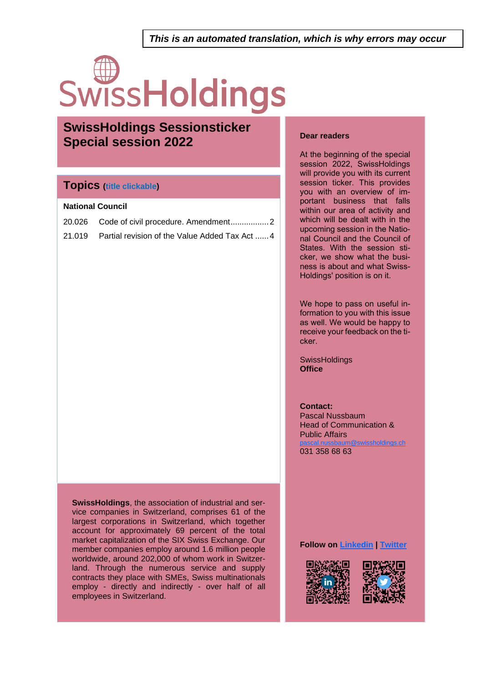*This is an automated translation, which is why errors may occur*

# SwissHoldings

### **SwissHoldings Sessionsticker Special session 2022**

### **Topics (title clickable)**

### **National Council**

| 21.019 Partial revision of the Value Added Tax Act 4 |
|------------------------------------------------------|

**SwissHoldings**, the association of industrial and service companies in Switzerland, comprises 61 of the largest corporations in Switzerland, which together account for approximately 69 percent of the total market capitalization of the SIX Swiss Exchange. Our member companies employ around 1.6 million people worldwide, around 202,000 of whom work in Switzerland. Through the numerous service and supply contracts they place with SMEs, Swiss multinationals employ - directly and indirectly - over half of all employees in Switzerland.

### **Dear readers**

At the beginning of the special session 2022, SwissHoldings will provide you with its current session ticker. This provides you with an overview of important business that falls within our area of activity and which will be dealt with in the upcoming session in the National Council and the Council of States. With the session sticker, we show what the business is about and what Swiss-Holdings' position is on it.

We hope to pass on useful information to you with this issue as well. We would be happy to receive your feedback on the ticker.

**SwissHoldings Office** 

**Contact:** Pascal Nussbaum Head of Communication & Public Affairs  $\bm{\mathfrak{D}}$ swissholdings.ch 031 358 68 63

**Follow on [Linkedin](https://www.linkedin.com/company/swissholdings) | [Twitter](https://twitter.com/holdingsswiss)**

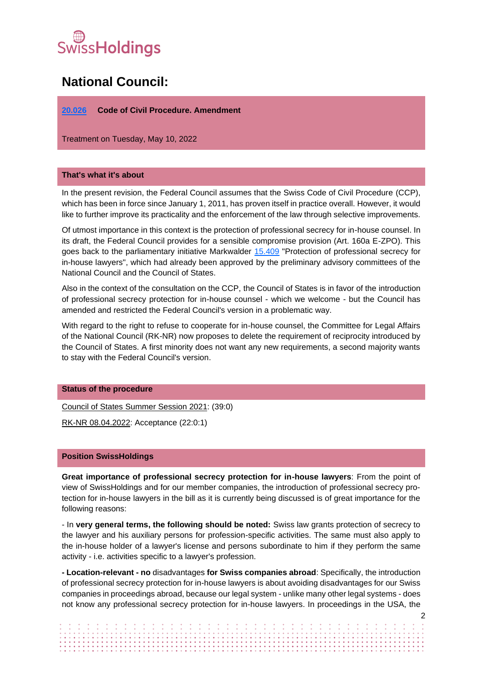# <sub>(se</sub><br>Surfaldings

### **National Council:**

### <span id="page-1-0"></span>**[20.026](https://www.parlament.ch/de/ratsbetrieb/suche-curia-vista/geschaeft?AffairId=20200026) Code of Civil Procedure. Amendment**

Treatment on Tuesday, May 10, 2022

### **That's what it's about**

In the present revision, the Federal Council assumes that the Swiss Code of Civil Procedure (CCP), which has been in force since January 1, 2011, has proven itself in practice overall. However, it would like to further improve its practicality and the enforcement of the law through selective improvements.

Of utmost importance in this context is the protection of professional secrecy for in-house counsel. In its draft, the Federal Council provides for a sensible compromise provision (Art. 160a E-ZPO). This goes back to the parliamentary initiative Markwalder [15.409](https://www.parlament.ch/de/ratsbetrieb/suche-curia-vista/geschaeft?AffairId=20150409) "Protection of professional secrecy for in-house lawyers", which had already been approved by the preliminary advisory committees of the National Council and the Council of States.

Also in the context of the consultation on the CCP, the Council of States is in favor of the introduction of professional secrecy protection for in-house counsel - which we welcome - but the Council has amended and restricted the Federal Council's version in a problematic way.

With regard to the right to refuse to cooperate for in-house counsel, the Committee for Legal Affairs of the National Council (RK-NR) now proposes to delete the requirement of reciprocity introduced by the Council of States. A first minority does not want any new requirements, a second majority wants to stay with the Federal Council's version.

### **Status of the procedure**

Council of States Summer Session 2021: (39:0)

RK-NR 08.04.2022: Acceptance (22:0:1)

### **Position SwissHoldings**

**Great importance of professional secrecy protection for in-house lawyers**: From the point of view of SwissHoldings and for our member companies, the introduction of professional secrecy protection for in-house lawyers in the bill as it is currently being discussed is of great importance for the following reasons:

- In **very general terms, the following should be noted:** Swiss law grants protection of secrecy to the lawyer and his auxiliary persons for profession-specific activities. The same must also apply to the in-house holder of a lawyer's license and persons subordinate to him if they perform the same activity - i.e. activities specific to a lawyer's profession.

**- Location-relevant - no** disadvantages **for Swiss companies abroad**: Specifically, the introduction of professional secrecy protection for in-house lawyers is about avoiding disadvantages for our Swiss companies in proceedings abroad, because our legal system - unlike many other legal systems - does not know any professional secrecy protection for in-house lawyers. In proceedings in the USA, the

|  |  |  |  |  |  |  |  |  |  |  |  |  |  |  |  |  |  |  |  |  |  |  |  |  |  |  | $\sqrt{2}$ |
|--|--|--|--|--|--|--|--|--|--|--|--|--|--|--|--|--|--|--|--|--|--|--|--|--|--|--|------------|
|  |  |  |  |  |  |  |  |  |  |  |  |  |  |  |  |  |  |  |  |  |  |  |  |  |  |  |            |
|  |  |  |  |  |  |  |  |  |  |  |  |  |  |  |  |  |  |  |  |  |  |  |  |  |  |  |            |
|  |  |  |  |  |  |  |  |  |  |  |  |  |  |  |  |  |  |  |  |  |  |  |  |  |  |  |            |
|  |  |  |  |  |  |  |  |  |  |  |  |  |  |  |  |  |  |  |  |  |  |  |  |  |  |  |            |
|  |  |  |  |  |  |  |  |  |  |  |  |  |  |  |  |  |  |  |  |  |  |  |  |  |  |  |            |
|  |  |  |  |  |  |  |  |  |  |  |  |  |  |  |  |  |  |  |  |  |  |  |  |  |  |  |            |
|  |  |  |  |  |  |  |  |  |  |  |  |  |  |  |  |  |  |  |  |  |  |  |  |  |  |  |            |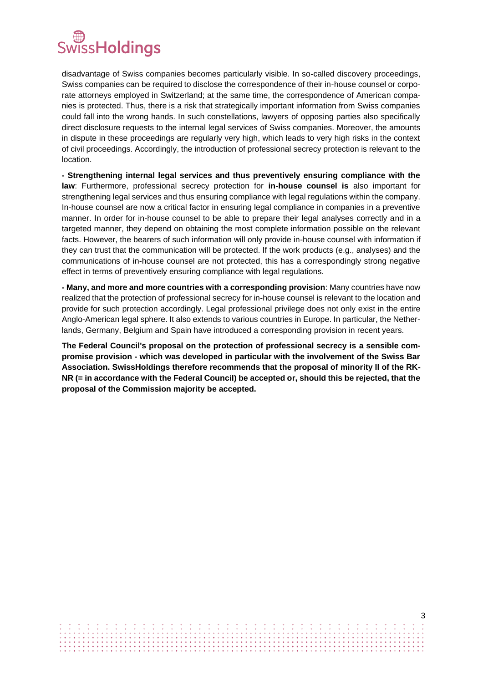### WissHoldings

disadvantage of Swiss companies becomes particularly visible. In so-called discovery proceedings, Swiss companies can be required to disclose the correspondence of their in-house counsel or corporate attorneys employed in Switzerland; at the same time, the correspondence of American companies is protected. Thus, there is a risk that strategically important information from Swiss companies could fall into the wrong hands. In such constellations, lawyers of opposing parties also specifically direct disclosure requests to the internal legal services of Swiss companies. Moreover, the amounts in dispute in these proceedings are regularly very high, which leads to very high risks in the context of civil proceedings. Accordingly, the introduction of professional secrecy protection is relevant to the location.

**- Strengthening internal legal services and thus preventively ensuring compliance with the law**: Furthermore, professional secrecy protection for **in-house counsel is** also important for strengthening legal services and thus ensuring compliance with legal regulations within the company. In-house counsel are now a critical factor in ensuring legal compliance in companies in a preventive manner. In order for in-house counsel to be able to prepare their legal analyses correctly and in a targeted manner, they depend on obtaining the most complete information possible on the relevant facts. However, the bearers of such information will only provide in-house counsel with information if they can trust that the communication will be protected. If the work products (e.g., analyses) and the communications of in-house counsel are not protected, this has a correspondingly strong negative effect in terms of preventively ensuring compliance with legal regulations.

**- Many, and more and more countries with a corresponding provision**: Many countries have now realized that the protection of professional secrecy for in-house counsel is relevant to the location and provide for such protection accordingly. Legal professional privilege does not only exist in the entire Anglo-American legal sphere. It also extends to various countries in Europe. In particular, the Netherlands, Germany, Belgium and Spain have introduced a corresponding provision in recent years.

**The Federal Council's proposal on the protection of professional secrecy is a sensible compromise provision - which was developed in particular with the involvement of the Swiss Bar Association. SwissHoldings therefore recommends that the proposal of minority II of the RK-NR (= in accordance with the Federal Council) be accepted or, should this be rejected, that the proposal of the Commission majority be accepted.**

3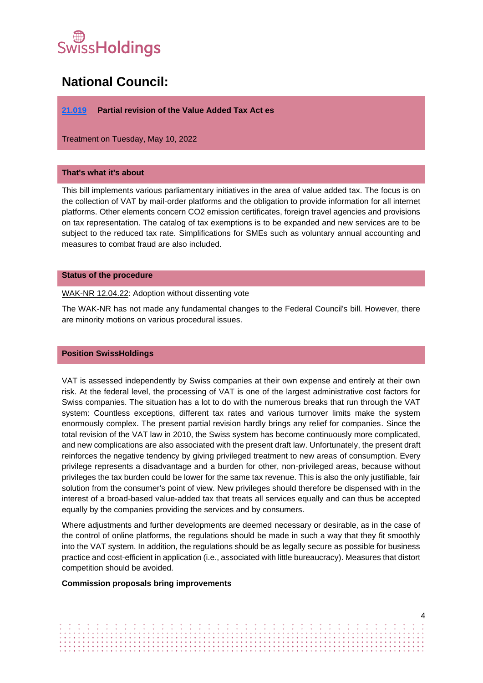# SwissHoldings

### **National Council:**

### <span id="page-3-0"></span>**[21.019](https://www.parlament.ch/de/ratsbetrieb/suche-curia-vista/geschaeft?AffairId=20210019) Partial revision of the Value Added Tax Act es**

Treatment on Tuesday, May 10, 2022

### **That's what it's about**

This bill implements various parliamentary initiatives in the area of value added tax. The focus is on the collection of VAT by mail-order platforms and the obligation to provide information for all internet platforms. Other elements concern CO2 emission certificates, foreign travel agencies and provisions on tax representation. The catalog of tax exemptions is to be expanded and new services are to be subject to the reduced tax rate. Simplifications for SMEs such as voluntary annual accounting and measures to combat fraud are also included.

#### **Status of the procedure**

### WAK-NR 12.04.22: Adoption without dissenting vote

The WAK-NR has not made any fundamental changes to the Federal Council's bill. However, there are minority motions on various procedural issues.

### **Position SwissHoldings**

VAT is assessed independently by Swiss companies at their own expense and entirely at their own risk. At the federal level, the processing of VAT is one of the largest administrative cost factors for Swiss companies. The situation has a lot to do with the numerous breaks that run through the VAT system: Countless exceptions, different tax rates and various turnover limits make the system enormously complex. The present partial revision hardly brings any relief for companies. Since the total revision of the VAT law in 2010, the Swiss system has become continuously more complicated, and new complications are also associated with the present draft law. Unfortunately, the present draft reinforces the negative tendency by giving privileged treatment to new areas of consumption. Every privilege represents a disadvantage and a burden for other, non-privileged areas, because without privileges the tax burden could be lower for the same tax revenue. This is also the only justifiable, fair solution from the consumer's point of view. New privileges should therefore be dispensed with in the interest of a broad-based value-added tax that treats all services equally and can thus be accepted equally by the companies providing the services and by consumers.

Where adjustments and further developments are deemed necessary or desirable, as in the case of the control of online platforms, the regulations should be made in such a way that they fit smoothly into the VAT system. In addition, the regulations should be as legally secure as possible for business practice and cost-efficient in application (i.e., associated with little bureaucracy). Measures that distort competition should be avoided.

### **Commission proposals bring improvements**